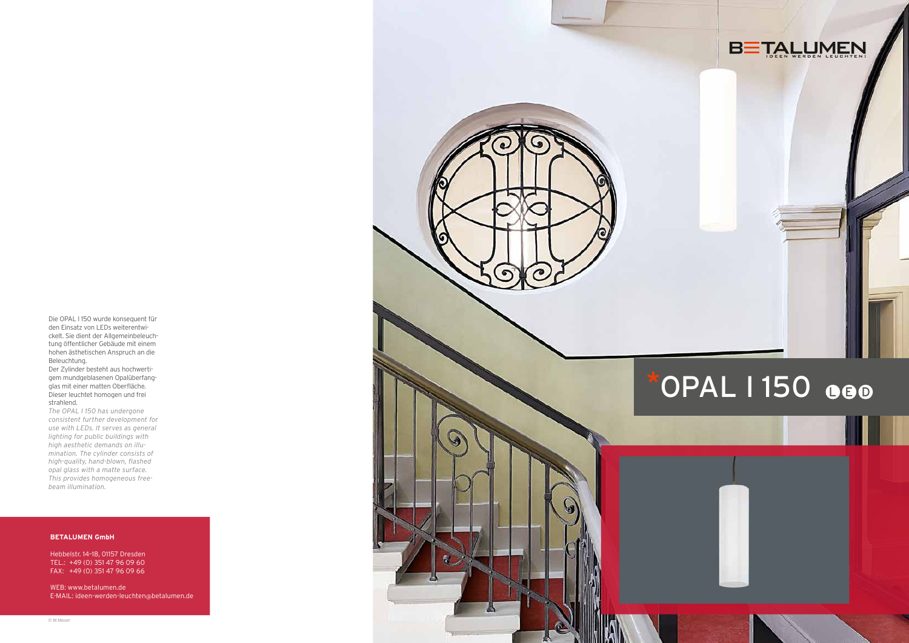Die OPAL I 150 wurde konsequent für den Einsatz von LEDs weiterentwi ckelt. Sie dient der Allgemeinbeleuch tung öffentlicher Gebäude mit einem hohen ästhetischen Anspruch an die Beleuchtung.

Der Zylinder besteht aus hochwerti gem mundgeblasenen Opalüberfang glas mit einer matten Oberfläche. Dieser leuchtet homogen und frei strahlend.

*The OPAL I 150 has undergone consistent further development for use with LEDs. It serves as general lighting for public buildings with high aesthetic demands on illu mination. The cylinder consists of high-quality, hand-blown, flashed opal glass with a matte surface. This provides homogeneous freebeam illumination.*

### **BETALUMEN GmbH**

Hebbelstr. 14–18, 01157 Dresden TEL.: +49 (0) 351 47 96 09 60 FAX: +49 (0) 351 47 96 09 66

WEB: www.betalumen.de E-MAIL: ideen-werden-leuchten @betalumen.de